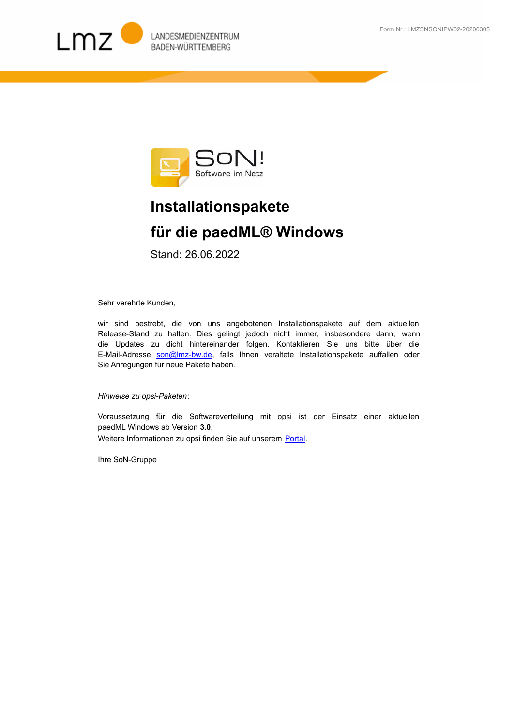



## **Installationspakete für die paedML® Windows**

Stand: 26.06.2022

Sehr verehrte Kunden,

wir sind bestrebt, die von uns angebotenen Installationspakete auf dem aktuellen Release-Stand zu halten. Dies gelingt jedoch nicht immer, insbesondere dann, wenn [die Updates zu dicht hintereinander folgen. Kontaktieren Sie uns bitte über die](mailto:son@lmz-bw.de)  E-Mail-Adresse son@Imz-bw.de, falls Ihnen veraltete Installationspakete auffallen oder Sie Anregungen für neue Pakete haben.

## *Hinweise zu opsi-Paketen*:

Voraussetzung für die Softwareverteilung mit opsi ist der Einsatz einer aktuellen paedML Windows ab Version **3.0**. Weitere Informationen zu opsi finden Sie auf unserem Portal.

Ihre SoN-Gruppe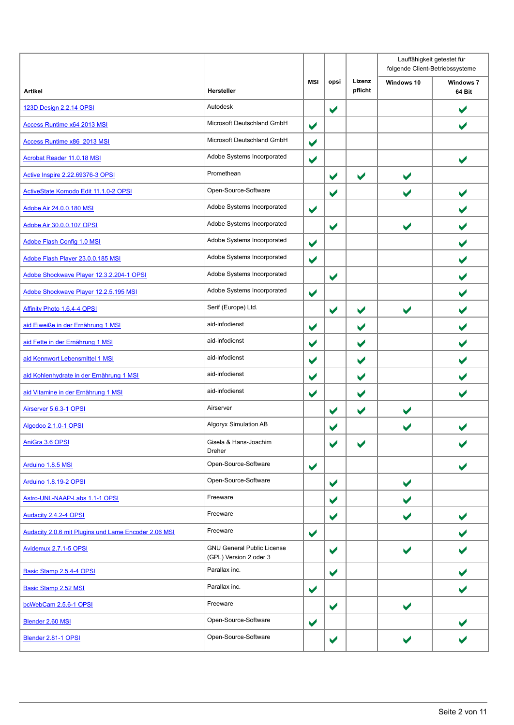|                                                      |                                                             |                      |                      |                      | Lauffähigkeit getestet für<br>folgende Client-Betriebssysteme |                            |  |
|------------------------------------------------------|-------------------------------------------------------------|----------------------|----------------------|----------------------|---------------------------------------------------------------|----------------------------|--|
| <b>Artikel</b>                                       | Hersteller                                                  | MSI                  | opsi                 | Lizenz<br>pflicht    | Windows 10                                                    | <b>Windows 7</b><br>64 Bit |  |
| 123D Design 2.2.14 OPSI                              | Autodesk                                                    |                      | $\blacktriangledown$ |                      |                                                               | V                          |  |
| <b>Access Runtime x64 2013 MSI</b>                   | Microsoft Deutschland GmbH                                  | $\blacktriangledown$ |                      |                      |                                                               | V                          |  |
| Access Runtime x86 2013 MSI                          | Microsoft Deutschland GmbH                                  | $\blacktriangledown$ |                      |                      |                                                               |                            |  |
| <b>Acrobat Reader 11.0.18 MSI</b>                    | Adobe Systems Incorporated                                  | $\blacktriangledown$ |                      |                      |                                                               |                            |  |
| Active Inspire 2.22.69376-3 OPSI                     | Promethean                                                  |                      | $\blacktriangledown$ | $\blacktriangledown$ | $\blacktriangledown$                                          |                            |  |
| ActiveState Komodo Edit 11.1.0-2 OPSI                | Open-Source-Software                                        |                      | $\blacktriangledown$ |                      | $\blacktriangledown$                                          |                            |  |
| Adobe Air 24.0.0.180 MSI                             | Adobe Systems Incorporated                                  | $\blacktriangledown$ |                      |                      |                                                               |                            |  |
| Adobe Air 30.0.0.107 OPSI                            | Adobe Systems Incorporated                                  |                      | $\blacktriangledown$ |                      | $\blacktriangleright$                                         |                            |  |
| Adobe Flash Config 1.0 MSI                           | Adobe Systems Incorporated                                  | $\blacktriangledown$ |                      |                      |                                                               |                            |  |
| Adobe Flash Player 23.0.0.185 MSI                    | Adobe Systems Incorporated                                  | $\blacktriangledown$ |                      |                      |                                                               |                            |  |
| Adobe Shockwave Player 12.3.2.204-1 OPSI             | Adobe Systems Incorporated                                  |                      | $\blacktriangledown$ |                      |                                                               | $\blacktriangledown$       |  |
| Adobe Shockwave Player 12.2.5.195 MSI                | Adobe Systems Incorporated                                  | $\blacktriangledown$ |                      |                      |                                                               |                            |  |
| Affinity Photo 1.6.4-4 OPSI                          | Serif (Europe) Ltd.                                         |                      | $\blacktriangledown$ | $\blacktriangledown$ | $\blacktriangleright$                                         |                            |  |
| aid Eiweiße in der Ernährung 1 MSI                   | aid-infodienst                                              | $\blacktriangledown$ |                      | $\blacktriangledown$ |                                                               | $\blacktriangledown$       |  |
| aid Fette in der Ernährung 1 MSI                     | aid-infodienst                                              | $\blacktriangledown$ |                      | $\blacktriangledown$ |                                                               |                            |  |
| aid Kennwort Lebensmittel 1 MSI                      | aid-infodienst                                              | $\blacktriangledown$ |                      | $\blacktriangledown$ |                                                               |                            |  |
| aid Kohlenhydrate in der Ernährung 1 MSI             | aid-infodienst                                              | $\blacktriangledown$ |                      | $\blacktriangledown$ |                                                               |                            |  |
| aid Vitamine in der Ernährung 1 MSI                  | aid-infodienst                                              | $\blacktriangledown$ |                      | $\blacktriangledown$ |                                                               |                            |  |
| Airserver 5.6.3-1 OPSI                               | Airserver                                                   |                      | $\blacktriangledown$ | $\blacktriangledown$ | $\blacktriangledown$                                          |                            |  |
| Algodoo 2.1.0-1 OPSI                                 | Algoryx Simulation AB                                       |                      | V                    |                      | $\blacktriangledown$                                          |                            |  |
| AniGra 3.6 OPSI                                      | Gisela & Hans-Joachim<br>Dreher                             |                      | $\blacktriangledown$ | $\blacktriangledown$ |                                                               |                            |  |
| Arduino 1.8.5 MSI                                    | Open-Source-Software                                        | $\blacktriangledown$ |                      |                      |                                                               |                            |  |
| Arduino 1.8.19-2 OPSI                                | Open-Source-Software                                        |                      | $\blacktriangledown$ |                      | $\blacktriangledown$                                          |                            |  |
| Astro-UNL-NAAP-Labs 1.1-1 OPSI                       | Freeware                                                    |                      | $\blacktriangledown$ |                      | $\blacktriangleright$                                         |                            |  |
| Audacity 2.4.2-4 OPSI                                | Freeware                                                    |                      | $\blacktriangledown$ |                      | $\blacktriangledown$                                          |                            |  |
| Audacity 2.0.6 mit Plugins und Lame Encoder 2.06 MSI | Freeware                                                    | $\blacktriangledown$ |                      |                      |                                                               |                            |  |
| Avidemux 2.7.1-5 OPSI                                | <b>GNU General Public License</b><br>(GPL) Version 2 oder 3 |                      | $\blacktriangledown$ |                      |                                                               |                            |  |
| Basic Stamp 2.5.4-4 OPSI                             | Parallax inc.                                               |                      | $\blacktriangledown$ |                      |                                                               |                            |  |
| Basic Stamp 2.52 MSI                                 | Parallax inc.                                               | $\blacktriangledown$ |                      |                      |                                                               |                            |  |
| bcWebCam 2.5.6-1 OPSI                                | Freeware                                                    |                      | $\blacktriangledown$ |                      | $\blacktriangleright$                                         |                            |  |
| Blender 2.60 MSI                                     | Open-Source-Software                                        | $\blacktriangledown$ |                      |                      |                                                               |                            |  |
| Blender 2.81-1 OPSI                                  | Open-Source-Software                                        |                      | $\blacktriangledown$ |                      | V                                                             |                            |  |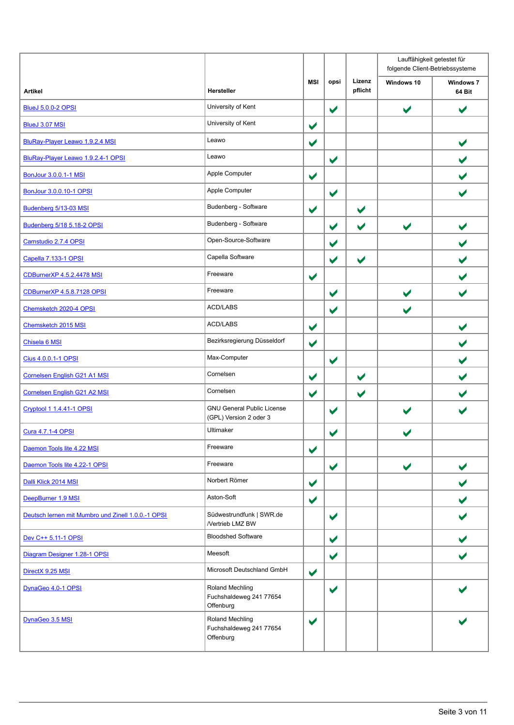|                                                    |                                                             |                      |                      |                      | Lauffähigkeit getestet für<br>folgende Client-Betriebssysteme |                            |
|----------------------------------------------------|-------------------------------------------------------------|----------------------|----------------------|----------------------|---------------------------------------------------------------|----------------------------|
| <b>Artikel</b>                                     | Hersteller                                                  | <b>MSI</b>           | opsi                 | Lizenz<br>pflicht    | Windows 10                                                    | <b>Windows 7</b><br>64 Bit |
| <b>BlueJ 5.0.0-2 OPSI</b>                          | University of Kent                                          |                      | $\blacktriangledown$ |                      | $\blacktriangledown$                                          | $\blacktriangledown$       |
| <b>BlueJ 3.07 MSI</b>                              | University of Kent                                          | $\blacktriangledown$ |                      |                      |                                                               |                            |
| BluRay-Player Leawo 1.9.2.4 MSI                    | Leawo                                                       | $\blacktriangledown$ |                      |                      |                                                               | $\blacktriangledown$       |
| BluRay-Player Leawo 1.9.2.4-1 OPSI                 | Leawo                                                       |                      | $\blacktriangledown$ |                      |                                                               |                            |
| BonJour 3.0.0.1-1 MSI                              | Apple Computer                                              | $\blacktriangledown$ |                      |                      |                                                               |                            |
| <b>BonJour 3.0.0.10-1 OPSI</b>                     | Apple Computer                                              |                      | $\blacktriangledown$ |                      |                                                               | $\checkmark$               |
| Budenberg 5/13-03 MSI                              | Budenberg - Software                                        | $\blacktriangledown$ |                      | $\blacktriangledown$ |                                                               |                            |
| Budenberg 5/18 5.18-2 OPSI                         | Budenberg - Software                                        |                      | $\blacktriangledown$ | $\blacktriangledown$ | $\blacktriangledown$                                          |                            |
| Camstudio 2.7.4 OPSI                               | Open-Source-Software                                        |                      | $\blacktriangledown$ |                      |                                                               |                            |
| Capella 7.133-1 OPSI                               | Capella Software                                            |                      | $\blacktriangledown$ | $\blacktriangledown$ |                                                               |                            |
| CDBurnerXP 4.5.2.4478 MSI                          | Freeware                                                    | $\blacktriangledown$ |                      |                      |                                                               |                            |
| CDBurnerXP 4.5.8.7128 OPSI                         | Freeware                                                    |                      | $\blacktriangledown$ |                      |                                                               |                            |
| Chemsketch 2020-4 OPSI                             | ACD/LABS                                                    |                      | $\blacktriangledown$ |                      |                                                               |                            |
| Chemsketch 2015 MSI                                | ACD/LABS                                                    | $\blacktriangledown$ |                      |                      |                                                               | $\blacktriangledown$       |
| Chisela 6 MSI                                      | Bezirksregierung Düsseldorf                                 | $\blacktriangledown$ |                      |                      |                                                               |                            |
| Cius 4.0.0.1-1 OPSI                                | Max-Computer                                                |                      | $\blacktriangledown$ |                      |                                                               |                            |
| Cornelsen English G21 A1 MSI                       | Cornelsen                                                   | $\blacktriangledown$ |                      | $\blacktriangledown$ |                                                               |                            |
| Cornelsen English G21 A2 MSI                       | Cornelsen                                                   | $\blacktriangledown$ |                      | $\blacktriangledown$ |                                                               |                            |
| Cryptool 1 1.4.41-1 OPSI                           | <b>GNU General Public License</b><br>(GPL) Version 2 oder 3 |                      | $\blacktriangledown$ |                      |                                                               |                            |
| Cura 4.7.1-4 OPSI                                  | Ultimaker                                                   |                      | $\blacktriangledown$ |                      |                                                               |                            |
| Daemon Tools lite 4.22 MSI                         | Freeware                                                    | $\blacktriangledown$ |                      |                      |                                                               |                            |
| Daemon Tools lite 4.22-1 OPSI                      | Freeware                                                    |                      | $\blacktriangledown$ |                      | $\blacktriangledown$                                          | $\blacktriangledown$       |
| Dalli Klick 2014 MSI                               | Norbert Römer                                               | $\blacktriangledown$ |                      |                      |                                                               | $\blacktriangleright$      |
| DeepBurner 1.9 MSI                                 | Aston-Soft                                                  | $\blacktriangledown$ |                      |                      |                                                               |                            |
| Deutsch lernen mit Mumbro und Zinell 1.0.0.-1 OPSI | Südwestrundfunk   SWR.de<br>/Vertrieb LMZ BW                |                      | $\blacktriangledown$ |                      |                                                               |                            |
| Dev C++ 5.11-1 OPSI                                | <b>Bloodshed Software</b>                                   |                      | $\blacktriangledown$ |                      |                                                               |                            |
| Diagram Designer 1.28-1 OPSI                       | Meesoft                                                     |                      | $\blacktriangledown$ |                      |                                                               | $\blacktriangleright$      |
| DirectX 9.25 MSI                                   | Microsoft Deutschland GmbH                                  | $\blacktriangledown$ |                      |                      |                                                               |                            |
| DynaGeo 4.0-1 OPSI                                 | Roland Mechling<br>Fuchshaldeweg 241 77654<br>Offenburg     |                      | $\blacktriangledown$ |                      |                                                               |                            |
| DynaGeo 3.5 MSI                                    | Roland Mechling<br>Fuchshaldeweg 241 77654<br>Offenburg     | $\blacktriangledown$ |                      |                      |                                                               |                            |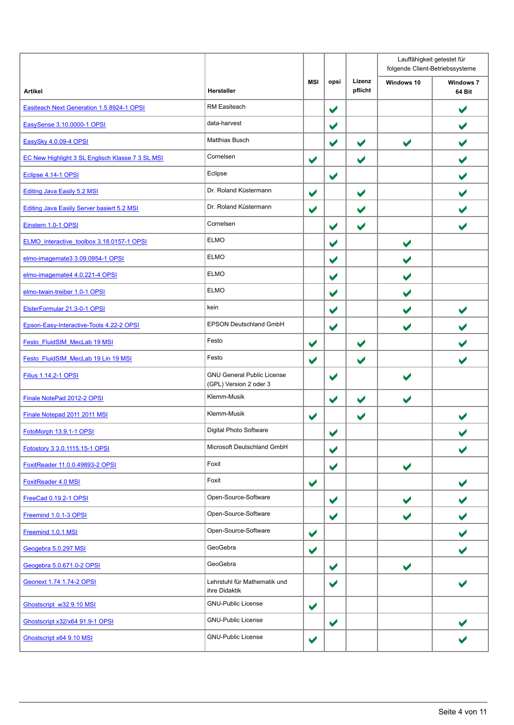|                                                  |                                                             |                      |                       |                      | Lauffähigkeit getestet für<br>folgende Client-Betriebssysteme |                            |
|--------------------------------------------------|-------------------------------------------------------------|----------------------|-----------------------|----------------------|---------------------------------------------------------------|----------------------------|
| <b>Artikel</b>                                   | Hersteller                                                  | <b>MSI</b>           | opsi                  | Lizenz<br>pflicht    | Windows 10                                                    | <b>Windows 7</b><br>64 Bit |
| Easiteach Next Generation 1.5.8924-1 OPSI        | RM Easiteach                                                |                      | $\blacktriangledown$  |                      |                                                               | $\blacktriangledown$       |
| EasySense 3.10.0000-1 OPSI                       | data-harvest                                                |                      | $\blacktriangledown$  |                      |                                                               |                            |
| EasySky 4.0.09-4 OPSI                            | <b>Matthias Busch</b>                                       |                      | $\blacktriangledown$  | $\blacktriangledown$ | $\blacktriangleright$                                         |                            |
| EC New Highlight 3 SL Englisch Klasse 7 3 SL MSI | Cornelsen                                                   | $\blacktriangledown$ |                       | ✔                    |                                                               |                            |
| Eclipse 4.14-1 OPSI                              | Eclipse                                                     |                      | $\blacktriangledown$  |                      |                                                               |                            |
| <b>Editing Java Easily 5.2 MSI</b>               | Dr. Roland Küstermann                                       | $\blacktriangledown$ |                       | $\blacktriangledown$ |                                                               |                            |
| Editing Java Easily Server basiert 5.2 MSI       | Dr. Roland Küstermann                                       | $\blacktriangledown$ |                       | V                    |                                                               |                            |
| Einstern 1.0-1 OPSI                              | Cornelsen                                                   |                      | $\blacktriangledown$  | V                    |                                                               |                            |
| ELMO interactive toolbox 3.18.0157-1 OPSI        | <b>ELMO</b>                                                 |                      | $\blacktriangledown$  |                      | $\blacktriangledown$                                          |                            |
| elmo-imagemate3 3.09.0954-1 OPSI                 | <b>ELMO</b>                                                 |                      | $\blacktriangledown$  |                      | $\blacktriangleright$                                         |                            |
| elmo-imagemate4 4.0.221-4 OPSI                   | <b>ELMO</b>                                                 |                      | $\blacktriangledown$  |                      |                                                               |                            |
| elmo-twain-treiber 1.0-1 OPSI                    | <b>ELMO</b>                                                 |                      | $\blacktriangledown$  |                      |                                                               |                            |
| ElsterFormular 21.3-0-1 OPSI                     | kein                                                        |                      | $\blacktriangledown$  |                      | $\blacktriangleright$                                         |                            |
| Epson-Easy-Interactive-Tools 4.22-2 OPSI         | <b>EPSON Deutschland GmbH</b>                               |                      | $\blacktriangledown$  |                      | $\blacktriangleright$                                         |                            |
| Festo FluidSIM MecLab 19 MSI                     | Festo                                                       | $\blacktriangledown$ |                       | $\blacktriangledown$ |                                                               |                            |
| Festo FluidSIM MecLab 19 Lin 19 MSI              | Festo                                                       | $\blacktriangledown$ |                       | $\blacktriangledown$ |                                                               |                            |
| <b>Filius 1.14.2-1 OPSI</b>                      | <b>GNU General Public License</b><br>(GPL) Version 2 oder 3 |                      | $\blacktriangledown$  |                      |                                                               |                            |
| Finale NotePad 2012-2 OPSI                       | Klemm-Musik                                                 |                      | $\blacktriangledown$  | $\blacktriangledown$ | $\blacktriangleright$                                         |                            |
| Finale Notepad 2011 2011 MSI                     | Klemm-Musik                                                 | $\blacktriangledown$ |                       | $\blacktriangledown$ |                                                               |                            |
| FotoMorph 13.9.1-1 OPSI                          | Digital Photo Software                                      |                      | $\blacktriangleright$ |                      |                                                               |                            |
| Fotostory 3 3.0.1115.15-1 OPSI                   | Microsoft Deutschland GmbH                                  |                      | $\blacktriangledown$  |                      |                                                               |                            |
| FoxitReader 11.0.0.49893-2 OPSI                  | Foxit                                                       |                      | $\blacktriangledown$  |                      | $\blacktriangledown$                                          |                            |
| FoxitReader 4.0 MSI                              | Foxit                                                       | $\blacktriangledown$ |                       |                      |                                                               |                            |
| FreeCad 0.19.2-1 OPSI                            | Open-Source-Software                                        |                      | $\blacktriangledown$  |                      | $\blacktriangledown$                                          |                            |
| Freemind 1.0.1-3 OPSI                            | Open-Source-Software                                        |                      | $\blacktriangledown$  |                      | V                                                             | $\blacktriangledown$       |
| Freemind 1.0.1 MSI                               | Open-Source-Software                                        | $\blacktriangledown$ |                       |                      |                                                               |                            |
| Geogebra 5.0.297 MSI                             | GeoGebra                                                    | $\blacktriangledown$ |                       |                      |                                                               | ✔                          |
| Geogebra 5.0.671.0-2 OPSI                        | GeoGebra                                                    |                      | $\blacktriangledown$  |                      | $\blacktriangledown$                                          |                            |
| Geonext 1.74 1.74-2 OPSI                         | Lehrstuhl für Mathematik und<br>ihre Didaktik               |                      | $\blacktriangledown$  |                      |                                                               |                            |
| Ghostscript w32 9.10 MSI                         | <b>GNU-Public License</b>                                   | $\blacktriangledown$ |                       |                      |                                                               |                            |
| <b>Ghostscript x32/x64 91.9-1 OPSI</b>           | <b>GNU-Public License</b>                                   |                      | $\blacktriangledown$  |                      |                                                               |                            |
| Ghostscript x64 9.10 MSI                         | <b>GNU-Public License</b>                                   | $\blacktriangledown$ |                       |                      |                                                               |                            |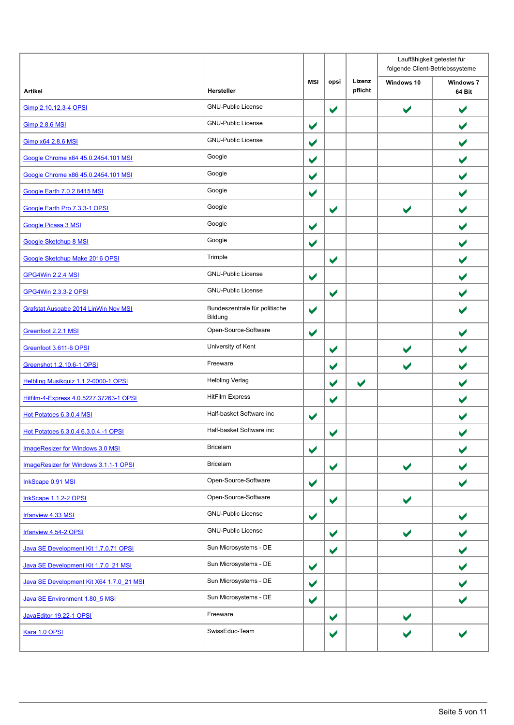|                                             |                                          |                      |                      |                      | Lauffähigkeit getestet für<br>folgende Client-Betriebssysteme |                            |
|---------------------------------------------|------------------------------------------|----------------------|----------------------|----------------------|---------------------------------------------------------------|----------------------------|
| <b>Artikel</b>                              | Hersteller                               | <b>MSI</b>           | opsi                 | Lizenz<br>pflicht    | Windows 10                                                    | <b>Windows 7</b><br>64 Bit |
| Gimp 2.10.12.3-4 OPSI                       | <b>GNU-Public License</b>                |                      | $\blacktriangledown$ |                      | $\blacktriangledown$                                          | $\blacktriangledown$       |
| <b>Gimp 2.8.6 MSI</b>                       | <b>GNU-Public License</b>                | $\blacktriangledown$ |                      |                      |                                                               | $\blacktriangledown$       |
| Gimp x64 2.8.6 MSI                          | <b>GNU-Public License</b>                | $\blacktriangledown$ |                      |                      |                                                               | $\blacktriangledown$       |
| Google Chrome x64 45.0.2454.101 MSI         | Google                                   | $\blacktriangledown$ |                      |                      |                                                               |                            |
| Google Chrome x86 45.0.2454.101 MSI         | Google                                   | $\blacktriangledown$ |                      |                      |                                                               |                            |
| Google Earth 7.0.2.8415 MSI                 | Google                                   | $\blacktriangledown$ |                      |                      |                                                               | ✔                          |
| Google Earth Pro 7.3.3-1 OPSI               | Google                                   |                      | $\blacktriangledown$ |                      | $\blacktriangledown$                                          |                            |
| <b>Google Picasa 3 MSI</b>                  | Google                                   | $\blacktriangledown$ |                      |                      |                                                               |                            |
| Google Sketchup 8 MSI                       | Google                                   | $\blacktriangledown$ |                      |                      |                                                               |                            |
| Google Sketchup Make 2016 OPSI              | Trimple                                  |                      | $\blacktriangledown$ |                      |                                                               |                            |
| GPG4Win 2.2.4 MSI                           | <b>GNU-Public License</b>                | $\blacktriangledown$ |                      |                      |                                                               | $\blacktriangledown$       |
| <b>GPG4Win 2.3.3-2 OPSI</b>                 | <b>GNU-Public License</b>                |                      | $\blacktriangledown$ |                      |                                                               |                            |
| <b>Grafstat Ausgabe 2014 LinWin Nov MSI</b> | Bundeszentrale für politische<br>Bildung | $\blacktriangledown$ |                      |                      |                                                               |                            |
| Greenfoot 2.2.1 MSI                         | Open-Source-Software                     | $\blacktriangledown$ |                      |                      |                                                               |                            |
| Greenfoot 3.611-6 OPSI                      | University of Kent                       |                      | $\blacktriangledown$ |                      | $\blacktriangleright$                                         | $\blacktriangledown$       |
| Greenshot 1.2.10.6-1 OPSI                   | Freeware                                 |                      | $\blacktriangledown$ |                      | V                                                             |                            |
| Helbling Musikquiz 1.1.2-0000-1 OPSI        | <b>Helbling Verlag</b>                   |                      | $\blacktriangledown$ | $\blacktriangledown$ |                                                               |                            |
| Hitfilm-4-Express 4.0.5227.37263-1 OPSI     | <b>HitFilm Express</b>                   |                      | $\blacktriangledown$ |                      |                                                               |                            |
| Hot Potatoes 6.3.0.4 MSI                    | Half-basket Software inc                 | $\blacktriangledown$ |                      |                      |                                                               |                            |
| Hot Potatoes 6.3.0.4 6.3.0.4.-1 OPSI        | Half-basket Software inc                 |                      | $\blacktriangledown$ |                      |                                                               |                            |
| ImageResizer for Windows 3.0 MSI            | Bricelam                                 | $\blacktriangledown$ |                      |                      |                                                               |                            |
| ImageResizer for Windows 3.1.1-1 OPSI       | <b>Bricelam</b>                          |                      | $\blacktriangledown$ |                      | $\blacktriangleright$                                         |                            |
| InkScape 0.91 MSI                           | Open-Source-Software                     | $\blacktriangledown$ |                      |                      |                                                               | $\blacktriangleright$      |
| InkScape 1.1.2-2 OPSI                       | Open-Source-Software                     |                      | $\blacktriangledown$ |                      | $\blacktriangleright$                                         |                            |
| Irfanview 4.33 MSI                          | <b>GNU-Public License</b>                | $\blacktriangledown$ |                      |                      |                                                               |                            |
| Irfanview 4.54-2 OPSI                       | <b>GNU-Public License</b>                |                      | $\blacktriangledown$ |                      | $\blacktriangleright$                                         |                            |
| Java SE Development Kit 1.7.0.71 OPSI       | Sun Microsystems - DE                    |                      | $\blacktriangledown$ |                      |                                                               | $\blacktriangledown$       |
| Java SE Development Kit 1.7.0 21 MSI        | Sun Microsystems - DE                    | $\blacktriangledown$ |                      |                      |                                                               |                            |
| Java SE Development Kit X64 1.7.0_21 MSI    | Sun Microsystems - DE                    | $\blacktriangledown$ |                      |                      |                                                               |                            |
| Java SE Environment 1.80 5 MSI              | Sun Microsystems - DE                    | $\blacktriangledown$ |                      |                      |                                                               | V                          |
| JavaEditor 19.22-1 OPSI                     | Freeware                                 |                      | $\blacktriangledown$ |                      | $\blacktriangledown$                                          |                            |
| Kara 1.0 OPSI                               | SwissEduc-Team                           |                      | $\blacktriangledown$ |                      |                                                               |                            |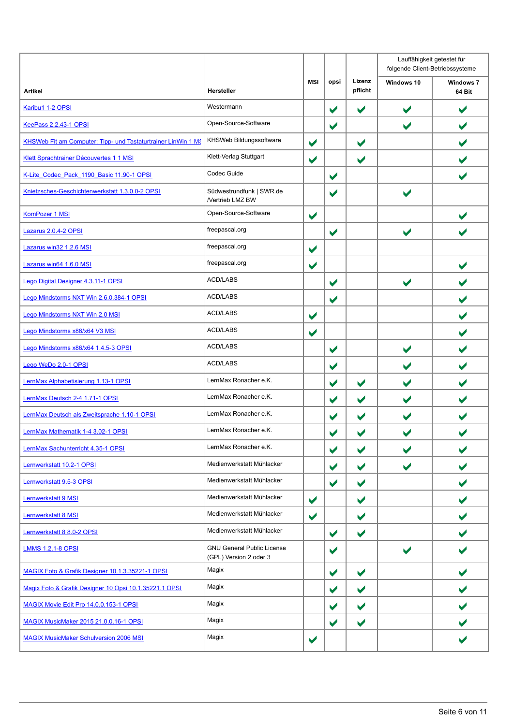|                                                               |                                                             |                       |                      |                      | Lauffähigkeit getestet für<br>folgende Client-Betriebssysteme |                            |  |
|---------------------------------------------------------------|-------------------------------------------------------------|-----------------------|----------------------|----------------------|---------------------------------------------------------------|----------------------------|--|
| <b>Artikel</b>                                                | Hersteller                                                  | MSI                   | opsi                 | Lizenz<br>pflicht    | Windows 10                                                    | <b>Windows 7</b><br>64 Bit |  |
| Karibu1 1-2 OPSI                                              | Westermann                                                  |                       | $\blacktriangledown$ | $\blacktriangledown$ | $\blacktriangleright$                                         | $\blacktriangledown$       |  |
| <b>KeePass 2.2.43-1 OPSI</b>                                  | Open-Source-Software                                        |                       | $\blacktriangledown$ |                      | $\blacktriangleright$                                         |                            |  |
| KHSWeb Fit am Computer: Tipp- und Tastaturtrainer LinWin 1 MS | KHSWeb Bildungssoftware                                     | $\blacktriangledown$  |                      | $\blacktriangledown$ |                                                               |                            |  |
| Klett Sprachtrainer Découvertes 1 1 MSI                       | Klett-Verlag Stuttgart                                      | $\blacktriangledown$  |                      | $\blacktriangledown$ |                                                               |                            |  |
| K-Lite Codec Pack 1190 Basic 11.90-1 OPSI                     | Codec Guide                                                 |                       | $\blacktriangledown$ |                      |                                                               |                            |  |
| Knietzsches-Geschichtenwerkstatt 1.3.0.0-2 OPSI               | Südwestrundfunk   SWR.de<br>/Vertrieb LMZ BW                |                       | $\blacktriangledown$ |                      |                                                               |                            |  |
| KomPozer 1 MSI                                                | Open-Source-Software                                        | $\blacktriangledown$  |                      |                      |                                                               |                            |  |
| Lazarus 2.0.4-2 OPSI                                          | freepascal.org                                              |                       | $\blacktriangledown$ |                      | $\blacktriangleright$                                         |                            |  |
| Lazarus win32 1.2.6 MSI                                       | freepascal.org                                              | $\blacktriangledown$  |                      |                      |                                                               |                            |  |
| Lazarus win64 1.6.0 MSI                                       | freepascal.org                                              | $\blacktriangledown$  |                      |                      |                                                               |                            |  |
| Lego Digital Designer 4.3.11-1 OPSI                           | <b>ACD/LABS</b>                                             |                       | $\blacktriangledown$ |                      | $\blacktriangleright$                                         |                            |  |
| Lego Mindstorms NXT Win 2.6.0.384-1 OPSI                      | <b>ACD/LABS</b>                                             |                       | $\blacktriangledown$ |                      |                                                               |                            |  |
| Lego Mindstorms NXT Win 2.0 MSI                               | <b>ACD/LABS</b>                                             | $\blacktriangledown$  |                      |                      |                                                               |                            |  |
| Lego Mindstorms x86/x64 V3 MSI                                | <b>ACD/LABS</b>                                             | $\blacktriangledown$  |                      |                      |                                                               |                            |  |
| Lego Mindstorms x86/x64 1.4.5-3 OPSI                          | <b>ACD/LABS</b>                                             |                       | $\blacktriangledown$ |                      | $\blacktriangleright$                                         |                            |  |
| Lego WeDo 2.0-1 OPSI                                          | <b>ACD/LABS</b>                                             |                       | ✔                    |                      |                                                               |                            |  |
| LernMax Alphabetisierung 1.13-1 OPSI                          | LernMax Ronacher e.K.                                       |                       | $\blacktriangledown$ | $\blacktriangledown$ | V                                                             |                            |  |
| LernMax Deutsch 2-4 1.71-1 OPSI                               | LernMax Ronacher e.K.                                       |                       | $\blacktriangledown$ | $\blacktriangledown$ | ✔                                                             |                            |  |
| LernMax Deutsch als Zweitsprache 1.10-1 OPSI                  | LernMax Ronacher e.K.                                       |                       | ✔                    | $\blacktriangledown$ | ✔                                                             |                            |  |
| LernMax Mathematik 1-4 3.02-1 OPSI                            | LernMax Ronacher e.K.                                       |                       | $\blacktriangledown$ | V                    |                                                               |                            |  |
| LernMax Sachunterricht 4.35-1 OPSI                            | LernMax Ronacher e.K.                                       |                       | $\blacktriangledown$ | $\blacktriangledown$ |                                                               |                            |  |
| Lernwerkstatt 10.2-1 OPSI                                     | Medienwerkstatt Mühlacker                                   |                       | $\blacktriangledown$ | $\blacktriangledown$ | $\blacktriangleright$                                         | ✔                          |  |
| Lernwerkstatt 9.5-3 OPSI                                      | Medienwerkstatt Mühlacker                                   |                       | ✔                    | $\blacktriangledown$ |                                                               | $\blacktriangledown$       |  |
| Lernwerkstatt 9 MSI                                           | Medienwerkstatt Mühlacker                                   | $\blacktriangleright$ |                      | $\blacktriangledown$ |                                                               | $\blacktriangledown$       |  |
| <b>Lernwerkstatt 8 MSI</b>                                    | Medienwerkstatt Mühlacker                                   | $\blacktriangledown$  |                      | $\blacktriangledown$ |                                                               |                            |  |
| Lernwerkstatt 8 8.0-2 OPSI                                    | Medienwerkstatt Mühlacker                                   |                       | $\blacktriangledown$ | $\blacktriangledown$ |                                                               |                            |  |
| <b>LMMS 1.2.1-8 OPSI</b>                                      | <b>GNU General Public License</b><br>(GPL) Version 2 oder 3 |                       | $\blacktriangledown$ |                      | $\blacktriangleright$                                         |                            |  |
| MAGIX Foto & Grafik Designer 10.1.3.35221-1 OPSI              | Magix                                                       |                       | $\blacktriangledown$ | $\blacktriangledown$ |                                                               | $\blacktriangledown$       |  |
| Magix Foto & Grafik Designer 10 Opsi 10.1.35221.1 OPSI        | Magix                                                       |                       | ✔                    | $\blacktriangledown$ |                                                               |                            |  |
| MAGIX Movie Edit Pro 14.0.0.153-1 OPSI                        | Magix                                                       |                       | $\blacktriangledown$ | $\blacktriangledown$ |                                                               |                            |  |
| <b>MAGIX MusicMaker 2015 21.0.0.16-1 OPSI</b>                 | Magix                                                       |                       | $\blacktriangledown$ | $\blacktriangledown$ |                                                               |                            |  |
| <b>MAGIX MusicMaker Schulversion 2006 MSI</b>                 | Magix                                                       | $\blacktriangledown$  |                      |                      |                                                               |                            |  |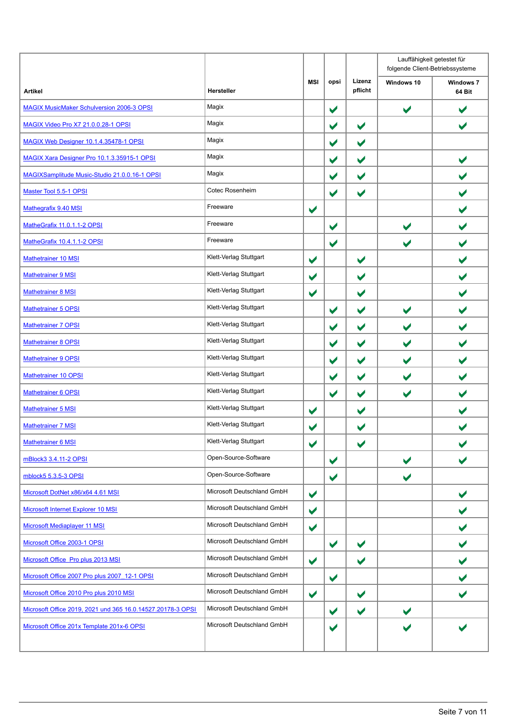| Hersteller                 | <b>MSI</b>           | opsi                 | Lizenz<br>pflicht    | Windows 10            | <b>Windows 7</b><br>64 Bit |
|----------------------------|----------------------|----------------------|----------------------|-----------------------|----------------------------|
| Magix                      |                      | $\blacktriangledown$ |                      | $\blacktriangledown$  | $\blacktriangledown$       |
| Magix                      |                      | $\blacktriangledown$ | $\blacktriangledown$ |                       | ✔                          |
| Magix                      |                      | $\blacktriangledown$ | $\blacktriangledown$ |                       |                            |
| Magix                      |                      | $\blacktriangledown$ | $\blacktriangledown$ |                       | $\blacktriangledown$       |
| Magix                      |                      | $\blacktriangledown$ | $\blacktriangledown$ |                       | $\blacktriangledown$       |
| Cotec Rosenheim            |                      | $\blacktriangledown$ | $\blacktriangledown$ |                       | $\blacktriangledown$       |
| Freeware                   | $\blacktriangledown$ |                      |                      |                       |                            |
| Freeware                   |                      | $\blacktriangledown$ |                      | $\blacktriangledown$  |                            |
| Freeware                   |                      | $\blacktriangledown$ |                      | $\blacktriangleright$ | $\blacktriangledown$       |
| Klett-Verlag Stuttgart     | $\blacktriangledown$ |                      | $\blacktriangledown$ |                       | $\blacktriangledown$       |
| Klett-Verlag Stuttgart     | $\blacktriangledown$ |                      | $\blacktriangledown$ |                       | $\blacktriangledown$       |
| Klett-Verlag Stuttgart     | $\blacktriangledown$ |                      | $\blacktriangledown$ |                       |                            |
| Klett-Verlag Stuttgart     |                      | $\blacktriangledown$ | $\blacktriangledown$ | $\blacktriangledown$  | $\blacktriangledown$       |
| Klett-Verlag Stuttgart     |                      | $\blacktriangledown$ | $\blacktriangledown$ | $\blacktriangledown$  | $\blacktriangledown$       |
| Klett-Verlag Stuttgart     |                      | $\blacktriangledown$ | $\blacktriangledown$ | $\blacktriangledown$  | $\blacktriangledown$       |
| Klett-Verlag Stuttgart     |                      | $\blacktriangledown$ | $\blacktriangledown$ | $\blacktriangledown$  |                            |
| Klett-Verlag Stuttgart     |                      | $\blacktriangledown$ | $\blacktriangledown$ | $\blacktriangledown$  | ✔                          |
| Klett-Verlag Stuttgart     |                      | $\blacktriangledown$ | $\blacktriangledown$ | $\blacktriangledown$  | $\blacktriangledown$       |
| Klett-Verlag Stuttgart     | $\blacktriangledown$ |                      | V                    |                       | $\blacktriangledown$       |
| Klett-Verlag Stuttgart     | $\blacktriangledown$ |                      | ✔                    |                       |                            |
| Klett-Verlag Stuttgart     | $\blacktriangledown$ |                      | $\blacktriangledown$ |                       | V                          |
| Open-Source-Software       |                      | $\blacktriangledown$ |                      | $\blacktriangledown$  |                            |
| Open-Source-Software       |                      | $\blacktriangledown$ |                      | V                     |                            |
| Microsoft Deutschland GmbH | $\blacktriangledown$ |                      |                      |                       |                            |
| Microsoft Deutschland GmbH | $\blacktriangledown$ |                      |                      |                       |                            |
| Microsoft Deutschland GmbH | $\blacktriangledown$ |                      |                      |                       | $\blacktriangledown$       |
| Microsoft Deutschland GmbH |                      | $\blacktriangledown$ | $\blacktriangledown$ |                       |                            |
| Microsoft Deutschland GmbH | $\blacktriangledown$ |                      | $\blacktriangledown$ |                       | $\blacktriangledown$       |
| Microsoft Deutschland GmbH |                      | $\blacktriangledown$ |                      |                       |                            |
| Microsoft Deutschland GmbH | $\blacktriangledown$ |                      | $\blacktriangledown$ |                       |                            |
| Microsoft Deutschland GmbH |                      | $\blacktriangledown$ | $\blacktriangledown$ | $\blacktriangledown$  |                            |
| Microsoft Deutschland GmbH |                      | $\blacktriangledown$ |                      |                       |                            |
|                            |                      |                      |                      |                       |                            |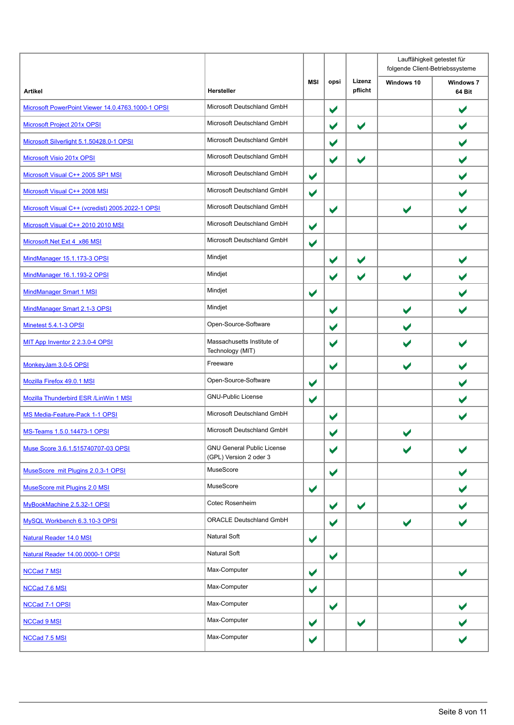|                                                   |                                                             |                      |                      |                      | Lauffähigkeit getestet für<br>folgende Client-Betriebssysteme |                            |
|---------------------------------------------------|-------------------------------------------------------------|----------------------|----------------------|----------------------|---------------------------------------------------------------|----------------------------|
| <b>Artikel</b>                                    | <b>Hersteller</b>                                           | <b>MSI</b>           | opsi                 | Lizenz<br>pflicht    | Windows 10                                                    | <b>Windows 7</b><br>64 Bit |
| Microsoft PowerPoint Viewer 14.0.4763.1000-1 OPSI | Microsoft Deutschland GmbH                                  |                      | $\blacktriangledown$ |                      |                                                               | ✔                          |
| <b>Microsoft Project 201x OPSI</b>                | Microsoft Deutschland GmbH                                  |                      | $\blacktriangledown$ | $\blacktriangledown$ |                                                               |                            |
| Microsoft Silverlight 5.1.50428.0-1 OPSI          | Microsoft Deutschland GmbH                                  |                      | $\blacktriangledown$ |                      |                                                               |                            |
| Microsoft Visio 201x OPSI                         | Microsoft Deutschland GmbH                                  |                      | $\blacktriangledown$ | V                    |                                                               |                            |
| Microsoft Visual C++ 2005 SP1 MSI                 | Microsoft Deutschland GmbH                                  | $\blacktriangledown$ |                      |                      |                                                               |                            |
| Microsoft Visual C++ 2008 MSI                     | Microsoft Deutschland GmbH                                  | $\blacktriangledown$ |                      |                      |                                                               |                            |
| Microsoft Visual C++ (vcredist) 2005.2022-1 OPSI  | Microsoft Deutschland GmbH                                  |                      | $\blacktriangledown$ |                      | $\blacktriangledown$                                          |                            |
| Microsoft Visual C++ 2010 2010 MSI                | Microsoft Deutschland GmbH                                  | $\blacktriangledown$ |                      |                      |                                                               |                            |
| Microsoft.Net Ext 4 x86 MSI                       | Microsoft Deutschland GmbH                                  | $\blacktriangledown$ |                      |                      |                                                               |                            |
| MindManager 15.1.173-3 OPSI                       | Mindjet                                                     |                      | $\blacktriangledown$ | $\blacktriangledown$ |                                                               |                            |
| MindManager 16.1.193-2 OPSI                       | Mindjet                                                     |                      | $\blacktriangledown$ | $\blacktriangledown$ | $\blacktriangleright$                                         |                            |
| MindManager Smart 1 MSI                           | Mindjet                                                     | $\blacktriangledown$ |                      |                      |                                                               |                            |
| MindManager Smart 2.1-3 OPSI                      | Mindjet                                                     |                      | $\blacktriangledown$ |                      | $\blacktriangleright$                                         |                            |
| Minetest 5.4.1-3 OPSI                             | Open-Source-Software                                        |                      | $\blacktriangledown$ |                      | V                                                             |                            |
| MIT App Inventor 2 2.3.0-4 OPSI                   | Massachusetts Institute of<br>Technology (MIT)              |                      | ✔                    |                      |                                                               |                            |
| MonkeyJam 3.0-5 OPSI                              | Freeware                                                    |                      | $\blacktriangledown$ |                      | $\blacktriangleright$                                         |                            |
| Mozilla Firefox 49.0.1 MSI                        | Open-Source-Software                                        | $\blacktriangledown$ |                      |                      |                                                               |                            |
| Mozilla Thunderbird ESR / LinWin 1 MSI            | <b>GNU-Public License</b>                                   | $\blacktriangledown$ |                      |                      |                                                               |                            |
| MS Media-Feature-Pack 1-1 OPSI                    | Microsoft Deutschland GmbH                                  |                      | $\blacktriangledown$ |                      |                                                               |                            |
| MS-Teams 1.5.0.14473-1 OPSI                       | Microsoft Deutschland GmbH                                  |                      | V                    |                      |                                                               |                            |
| Muse Score 3.6.1.515740707-03 OPSI                | <b>GNU General Public License</b><br>(GPL) Version 2 oder 3 |                      | $\blacktriangledown$ |                      |                                                               |                            |
| MuseScore mit Plugins 2.0.3-1 OPSI                | MuseScore                                                   |                      | $\blacktriangledown$ |                      |                                                               | $\blacktriangleright$      |
| MuseScore mit Plugins 2.0 MSI                     | MuseScore                                                   | $\blacktriangledown$ |                      |                      |                                                               |                            |
| MyBookMachine 2.5.32-1 OPSI                       | Cotec Rosenheim                                             |                      | $\blacktriangledown$ | $\blacktriangledown$ |                                                               |                            |
| MySQL Workbench 6.3.10-3 OPSI                     | <b>ORACLE Deutschland GmbH</b>                              |                      | $\blacktriangledown$ |                      | $\blacktriangledown$                                          |                            |
| Natural Reader 14.0 MSI                           | <b>Natural Soft</b>                                         | $\blacktriangledown$ |                      |                      |                                                               |                            |
| Natural Reader 14.00.0000-1 OPSI                  | Natural Soft                                                |                      | $\blacktriangledown$ |                      |                                                               |                            |
| <b>NCCad 7 MSI</b>                                | Max-Computer                                                | $\blacktriangledown$ |                      |                      |                                                               | $\blacktriangledown$       |
| NCCad 7.6 MSI                                     | Max-Computer                                                | $\blacktriangledown$ |                      |                      |                                                               |                            |
| NCCad 7-1 OPSI                                    | Max-Computer                                                |                      | $\blacktriangledown$ |                      |                                                               |                            |
| <b>NCCad 9 MSI</b>                                | Max-Computer                                                | $\blacktriangledown$ |                      | $\blacktriangledown$ |                                                               |                            |
| NCCad 7.5 MSI                                     | Max-Computer                                                | $\blacktriangledown$ |                      |                      |                                                               |                            |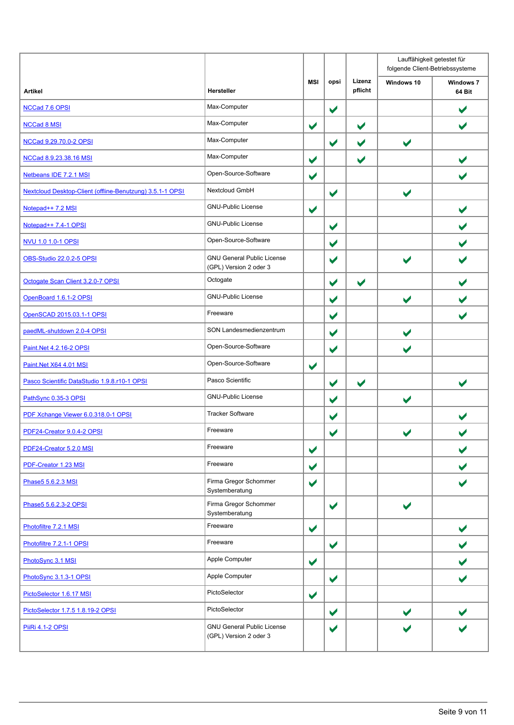|                                                           |                                                             |                      |                      |                       | Lauffähigkeit getestet für<br>folgende Client-Betriebssysteme |                            |
|-----------------------------------------------------------|-------------------------------------------------------------|----------------------|----------------------|-----------------------|---------------------------------------------------------------|----------------------------|
| <b>Artikel</b>                                            | <b>Hersteller</b>                                           | <b>MSI</b>           | opsi                 | Lizenz<br>pflicht     | Windows 10                                                    | <b>Windows 7</b><br>64 Bit |
| NCCad 7.6 OPSI                                            | Max-Computer                                                |                      | $\blacktriangledown$ |                       |                                                               | $\blacktriangledown$       |
| <b>NCCad 8 MSI</b>                                        | Max-Computer                                                | $\blacktriangledown$ |                      | $\blacktriangledown$  |                                                               | $\blacktriangleright$      |
| NCCad 9.29.70.0-2 OPSI                                    | Max-Computer                                                |                      | $\blacktriangledown$ | $\blacktriangleright$ | $\blacktriangleright$                                         |                            |
| NCCad 8.9.23.38.16 MSI                                    | Max-Computer                                                | $\blacktriangledown$ |                      | V                     |                                                               |                            |
| Netbeans IDE 7.2.1 MSI                                    | Open-Source-Software                                        | $\blacktriangledown$ |                      |                       |                                                               |                            |
| Nextcloud Desktop-Client (offline-Benutzung) 3.5.1-1 OPSI | Nextcloud GmbH                                              |                      | $\blacktriangledown$ |                       | $\blacktriangleright$                                         |                            |
| Notepad++ 7.2 MSI                                         | <b>GNU-Public License</b>                                   | $\blacktriangledown$ |                      |                       |                                                               |                            |
| Notepad++ 7.4-1 OPSI                                      | <b>GNU-Public License</b>                                   |                      | $\blacktriangledown$ |                       |                                                               |                            |
| NVU 1.0 1.0-1 OPSI                                        | Open-Source-Software                                        |                      | $\blacktriangledown$ |                       |                                                               |                            |
| <b>OBS-Studio 22.0.2-5 OPSI</b>                           | <b>GNU General Public License</b><br>(GPL) Version 2 oder 3 |                      | $\blacktriangledown$ |                       |                                                               |                            |
| Octogate Scan Client 3.2.0-7 OPSI                         | Octogate                                                    |                      | $\blacktriangledown$ | $\blacktriangledown$  |                                                               |                            |
| OpenBoard 1.6.1-2 OPSI                                    | <b>GNU-Public License</b>                                   |                      | $\blacktriangledown$ |                       | $\blacktriangleright$                                         |                            |
| OpenSCAD 2015.03.1-1 OPSI                                 | Freeware                                                    |                      | $\blacktriangledown$ |                       |                                                               | ✔                          |
| paedML-shutdown 2.0-4 OPSI                                | SON Landesmedienzentrum                                     |                      | $\blacktriangledown$ |                       | $\blacktriangleright$                                         |                            |
| Paint.Net 4.2.16-2 OPSI                                   | Open-Source-Software                                        |                      | $\blacktriangledown$ |                       |                                                               |                            |
| Paint.Net X64 4.01 MSI                                    | Open-Source-Software                                        | $\blacktriangledown$ |                      |                       |                                                               |                            |
| Pasco Scientific DataStudio 1.9.8.r10-1 OPSI              | Pasco Scientific                                            |                      | $\blacktriangledown$ | $\blacktriangledown$  |                                                               |                            |
| PathSync 0.35-3 OPSI                                      | <b>GNU-Public License</b>                                   |                      | $\blacktriangledown$ |                       | $\blacktriangleright$                                         |                            |
| PDF Xchange Viewer 6.0.318.0-1 OPSI                       | <b>Tracker Software</b>                                     |                      | $\blacktriangledown$ |                       |                                                               |                            |
| PDF24-Creator 9.0.4-2 OPSI                                | Freeware                                                    |                      | ✔                    |                       |                                                               |                            |
| PDF24-Creator 5.2.0 MSI                                   | Freeware                                                    | $\blacktriangledown$ |                      |                       |                                                               | $\blacktriangledown$       |
| PDF-Creator 1.23 MSI                                      | Freeware                                                    | $\blacktriangledown$ |                      |                       |                                                               |                            |
| Phase5 5.6.2.3 MSI                                        | Firma Gregor Schommer<br>Systemberatung                     | $\blacktriangledown$ |                      |                       |                                                               |                            |
| Phase5 5.6.2.3-2 OPSI                                     | Firma Gregor Schommer<br>Systemberatung                     |                      | $\blacktriangledown$ |                       | $\blacktriangledown$                                          |                            |
| Photofiltre 7.2.1 MSI                                     | Freeware                                                    | $\blacktriangledown$ |                      |                       |                                                               | $\blacktriangledown$       |
| Photofiltre 7.2.1-1 OPSI                                  | Freeware                                                    |                      | $\blacktriangledown$ |                       |                                                               |                            |
| PhotoSync 3.1 MSI                                         | Apple Computer                                              | $\blacktriangledown$ |                      |                       |                                                               |                            |
| PhotoSync 3.1.3-1 OPSI                                    | Apple Computer                                              |                      | $\blacktriangledown$ |                       |                                                               |                            |
| PictoSelector 1.6.17 MSI                                  | PictoSelector                                               | $\blacktriangledown$ |                      |                       |                                                               |                            |
| PictoSelector 1.7.5 1.8.19-2 OPSI                         | PictoSelector                                               |                      | $\blacktriangledown$ |                       | $\blacktriangledown$                                          |                            |
| <b>PiiRi 4.1-2 OPSI</b>                                   | <b>GNU General Public License</b><br>(GPL) Version 2 oder 3 |                      | $\blacktriangledown$ |                       |                                                               |                            |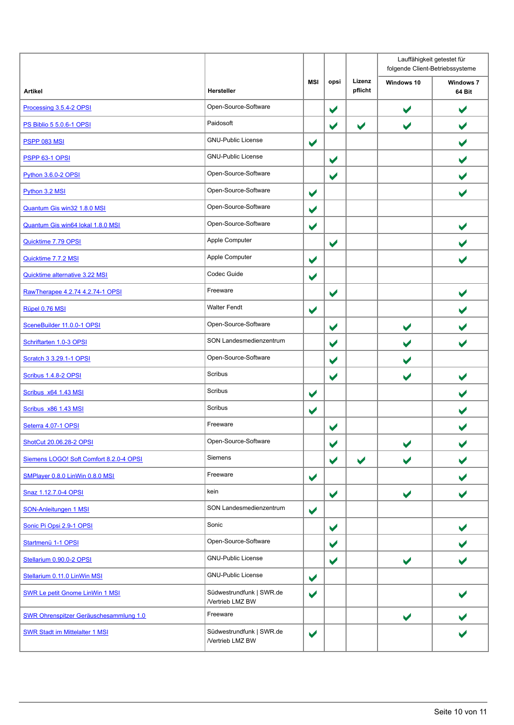|                                         |                                              |                      |                      |                      | Lauffähigkeit getestet für<br>folgende Client-Betriebssysteme |                            |
|-----------------------------------------|----------------------------------------------|----------------------|----------------------|----------------------|---------------------------------------------------------------|----------------------------|
| <b>Artikel</b>                          | <b>Hersteller</b>                            | MSI                  | opsi                 | Lizenz<br>pflicht    | Windows 10                                                    | <b>Windows 7</b><br>64 Bit |
| Processing 3.5.4-2 OPSI                 | Open-Source-Software                         |                      | $\blacktriangledown$ |                      | $\blacktriangledown$                                          | $\blacktriangledown$       |
| <b>PS Biblio 5 5.0.6-1 OPSI</b>         | Paidosoft                                    |                      | $\blacktriangledown$ | $\blacktriangledown$ | V                                                             | ✔                          |
| <b>PSPP 083 MSI</b>                     | <b>GNU-Public License</b>                    | $\blacktriangledown$ |                      |                      |                                                               | $\blacktriangledown$       |
| <b>PSPP 63-1 OPSI</b>                   | <b>GNU-Public License</b>                    |                      | $\blacktriangledown$ |                      |                                                               |                            |
| <b>Python 3.6.0-2 OPSI</b>              | Open-Source-Software                         |                      | $\blacktriangledown$ |                      |                                                               |                            |
| Python 3.2 MSI                          | Open-Source-Software                         | $\blacktriangledown$ |                      |                      |                                                               | $\blacktriangledown$       |
| Quantum Gis win32 1.8.0 MSI             | Open-Source-Software                         | $\blacktriangledown$ |                      |                      |                                                               |                            |
| Quantum Gis win64 lokal 1.8.0 MSI       | Open-Source-Software                         | $\blacktriangledown$ |                      |                      |                                                               |                            |
| Quicktime 7.79 OPSI                     | Apple Computer                               |                      | $\blacktriangledown$ |                      |                                                               |                            |
| Quicktime 7.7.2 MSI                     | Apple Computer                               | $\blacktriangledown$ |                      |                      |                                                               |                            |
| Quicktime alternative 3.22 MSI          | Codec Guide                                  | $\blacktriangledown$ |                      |                      |                                                               |                            |
| RawTherapee 4.2.74 4.2.74-1 OPSI        | Freeware                                     |                      | $\blacktriangledown$ |                      |                                                               |                            |
| Rüpel 0.76 MSI                          | <b>Walter Fendt</b>                          | $\blacktriangledown$ |                      |                      |                                                               |                            |
| SceneBuilder 11.0.0-1 OPSI              | Open-Source-Software                         |                      | $\blacktriangledown$ |                      | $\blacktriangledown$                                          |                            |
| Schriftarten 1.0-3 OPSI                 | SON Landesmedienzentrum                      |                      | ✔                    |                      | $\blacktriangleright$                                         |                            |
| Scratch 3 3.29.1-1 OPSI                 | Open-Source-Software                         |                      | $\blacktriangledown$ |                      |                                                               |                            |
| Scribus 1.4.8-2 OPSI                    | Scribus                                      |                      | $\blacktriangledown$ |                      | V                                                             |                            |
| Scribus x64 1.43 MSI                    | Scribus                                      | $\blacktriangledown$ |                      |                      |                                                               |                            |
| Scribus x86 1.43 MSI                    | Scribus                                      | $\blacktriangledown$ |                      |                      |                                                               |                            |
| Seterra 4.07-1 OPSI                     | Freeware                                     |                      | $\blacktriangledown$ |                      |                                                               |                            |
| ShotCut 20.06.28-2 OPSI                 | Open-Source-Software                         |                      | $\blacktriangledown$ |                      | $\blacktriangledown$                                          | $\blacktriangledown$       |
| Siemens LOGO! Soft Comfort 8.2.0-4 OPSI | Siemens                                      |                      | $\blacktriangledown$ | $\blacktriangledown$ | $\blacktriangleright$                                         |                            |
| SMPlayer 0.8.0 LinWin 0.8.0 MSI         | Freeware                                     | $\blacktriangledown$ |                      |                      |                                                               | $\blacktriangledown$       |
| Snaz 1.12.7.0-4 OPSI                    | kein                                         |                      | $\blacktriangledown$ |                      | $\blacktriangledown$                                          | $\blacktriangledown$       |
| <b>SON-Anleitungen 1 MSI</b>            | SON Landesmedienzentrum                      | $\blacktriangledown$ |                      |                      |                                                               |                            |
| Sonic Pi Opsi 2.9-1 OPSI                | Sonic                                        |                      | $\blacktriangledown$ |                      |                                                               |                            |
| Startmenü 1-1 OPSI                      | Open-Source-Software                         |                      | $\blacktriangledown$ |                      |                                                               |                            |
| Stellarium 0.90.0-2 OPSI                | <b>GNU-Public License</b>                    |                      | $\blacktriangledown$ |                      | $\blacktriangledown$                                          | ✔                          |
| Stellarium 0.11.0 LinWin MSI            | <b>GNU-Public License</b>                    | $\blacktriangledown$ |                      |                      |                                                               |                            |
| SWR Le petit Gnome LinWin 1 MSI         | Südwestrundfunk   SWR.de<br>/Vertrieb LMZ BW | $\blacktriangledown$ |                      |                      |                                                               |                            |
| SWR Ohrenspitzer Geräuschesammlung 1.0  | Freeware                                     |                      |                      |                      | $\blacktriangledown$                                          |                            |
| <b>SWR Stadt im Mittelalter 1 MSI</b>   | Südwestrundfunk   SWR.de<br>/Vertrieb LMZ BW | $\blacktriangledown$ |                      |                      |                                                               |                            |